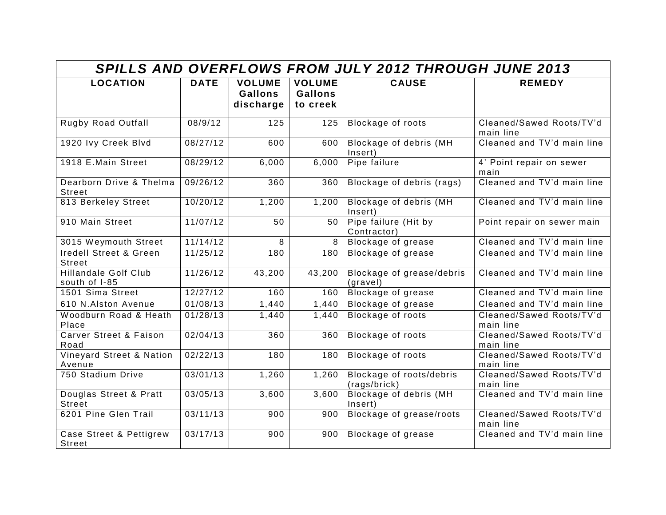| <b>SPILLS AND OVERFLOWS FROM JULY 2012 THROUGH JUNE 2013</b> |             |                                              |                                             |                                          |                                       |  |  |  |
|--------------------------------------------------------------|-------------|----------------------------------------------|---------------------------------------------|------------------------------------------|---------------------------------------|--|--|--|
| <b>LOCATION</b>                                              | <b>DATE</b> | <b>VOLUME</b><br><b>Gallons</b><br>discharge | <b>VOLUME</b><br><b>Gallons</b><br>to creek | <b>CAUSE</b>                             | <b>REMEDY</b>                         |  |  |  |
| Rugby Road Outfall                                           | 08/9/12     | 125                                          | 125                                         | Blockage of roots                        | Cleaned/Sawed Roots/TV'd<br>main line |  |  |  |
| 1920 Ivy Creek Blvd                                          | 08/27/12    | 600                                          | 600                                         | Blockage of debris (MH<br>Insert)        | Cleaned and TV'd main line            |  |  |  |
| 1918 E.Main Street                                           | 08/29/12    | 6,000                                        | 6,000                                       | Pipe failure                             | 4' Point repair on sewer<br>main      |  |  |  |
| Dearborn Drive & Thelma<br>Street                            | 09/26/12    | 360                                          | 360                                         | Blockage of debris (rags)                | Cleaned and TV'd main line            |  |  |  |
| 813 Berkeley Street                                          | 10/20/12    | 1,200                                        | 1,200                                       | Blockage of debris (MH<br>Insert)        | Cleaned and TV'd main line            |  |  |  |
| 910 Main Street                                              | 11/07/12    | 50                                           | 50                                          | Pipe failure (Hit by<br>Contractor)      | Point repair on sewer main            |  |  |  |
| 3015 Weymouth Street                                         | 11/14/12    | $\overline{8}$                               | 8                                           | Blockage of grease                       | Cleaned and TV'd main line            |  |  |  |
| <b>Iredell Street &amp; Green</b><br>Street                  | 11/25/12    | 180                                          | 180                                         | <b>Blockage of grease</b>                | Cleaned and TV'd main line            |  |  |  |
| <b>Hillandale Golf Club</b><br>south of I-85                 | 11/26/12    | 43,200                                       | 43,200                                      | Blockage of grease/debris<br>(gravel)    | Cleaned and TV'd main line            |  |  |  |
| 1501 Sima Street                                             | 12/27/12    | 160                                          | 160                                         | <b>Blockage of grease</b>                | Cleaned and TV'd main line            |  |  |  |
| 610 N.Alston Avenue                                          | 01/08/13    | 1,440                                        | $\overline{1,}440$                          | <b>Blockage of grease</b>                | Cleaned and TV'd main line            |  |  |  |
| Woodburn Road & Heath<br>Place                               | 01/28/13    | 1,440                                        | 1,440                                       | <b>Blockage of roots</b>                 | Cleaned/Sawed Roots/TV'd<br>main line |  |  |  |
| <b>Carver Street &amp; Faison</b><br>Road                    | 02/04/13    | 360                                          | 360                                         | <b>Blockage of roots</b>                 | Cleaned/Sawed Roots/TV'd<br>main line |  |  |  |
| Vineyard Street & Nation<br>Avenue                           | 02/22/13    | 180                                          | 180                                         | Blockage of roots                        | Cleaned/Sawed Roots/TV'd<br>main line |  |  |  |
| 750 Stadium Drive                                            | 03/01/13    | 1,260                                        | 1,260                                       | Blockage of roots/debris<br>(rags/brick) | Cleaned/Sawed Roots/TV'd<br>main line |  |  |  |
| Douglas Street & Pratt<br><b>Street</b>                      | 03/05/13    | 3,600                                        | 3,600                                       | <b>Blockage of debris (MH</b><br>Insert) | Cleaned and TV'd main line            |  |  |  |
| 6201 Pine Glen Trail                                         | 03/11/13    | 900                                          | 900                                         | Blockage of grease/roots                 | Cleaned/Sawed Roots/TV'd<br>main line |  |  |  |
| Case Street & Pettigrew<br>Street                            | 03/17/13    | 900                                          | 900                                         | Blockage of grease                       | Cleaned and TV'd main line            |  |  |  |